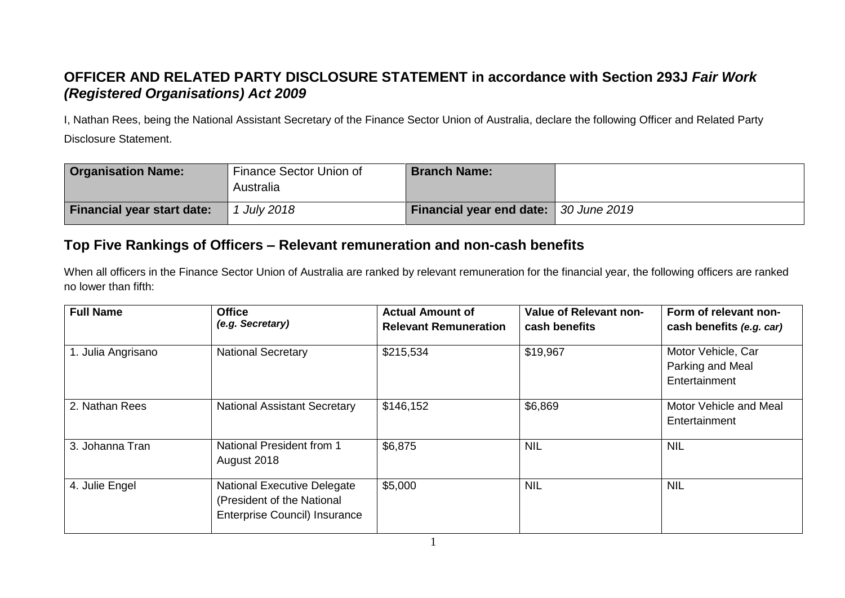## **OFFICER AND RELATED PARTY DISCLOSURE STATEMENT in accordance with Section 293J** *Fair Work (Registered Organisations) Act 2009*

I, Nathan Rees, being the National Assistant Secretary of the Finance Sector Union of Australia, declare the following Officer and Related Party Disclosure Statement.

| <b>Organisation Name:</b>         | Finance Sector Union of<br>Australia | <b>Branch Name:</b>                          |  |
|-----------------------------------|--------------------------------------|----------------------------------------------|--|
| <b>Financial year start date:</b> | <b>July 2018</b>                     | <b>Financial year end date:</b> 30 June 2019 |  |

## **Top Five Rankings of Officers – Relevant remuneration and non-cash benefits**

When all officers in the Finance Sector Union of Australia are ranked by relevant remuneration for the financial year, the following officers are ranked no lower than fifth:

| <b>Full Name</b>   | <b>Office</b><br>(e.g. Secretary)                                                                        | <b>Actual Amount of</b><br><b>Relevant Remuneration</b> | <b>Value of Relevant non-</b><br>cash benefits | Form of relevant non-<br>cash benefits (e.g. car)       |
|--------------------|----------------------------------------------------------------------------------------------------------|---------------------------------------------------------|------------------------------------------------|---------------------------------------------------------|
| 1. Julia Angrisano | <b>National Secretary</b>                                                                                | \$215,534                                               | \$19,967                                       | Motor Vehicle, Car<br>Parking and Meal<br>Entertainment |
| 2. Nathan Rees     | <b>National Assistant Secretary</b>                                                                      | \$146,152                                               | \$6,869                                        | Motor Vehicle and Meal<br>Entertainment                 |
| 3. Johanna Tran    | National President from 1<br>August 2018                                                                 | \$6,875                                                 | <b>NIL</b>                                     | <b>NIL</b>                                              |
| 4. Julie Engel     | <b>National Executive Delegate</b><br>(President of the National<br><b>Enterprise Council) Insurance</b> | \$5,000                                                 | <b>NIL</b>                                     | <b>NIL</b>                                              |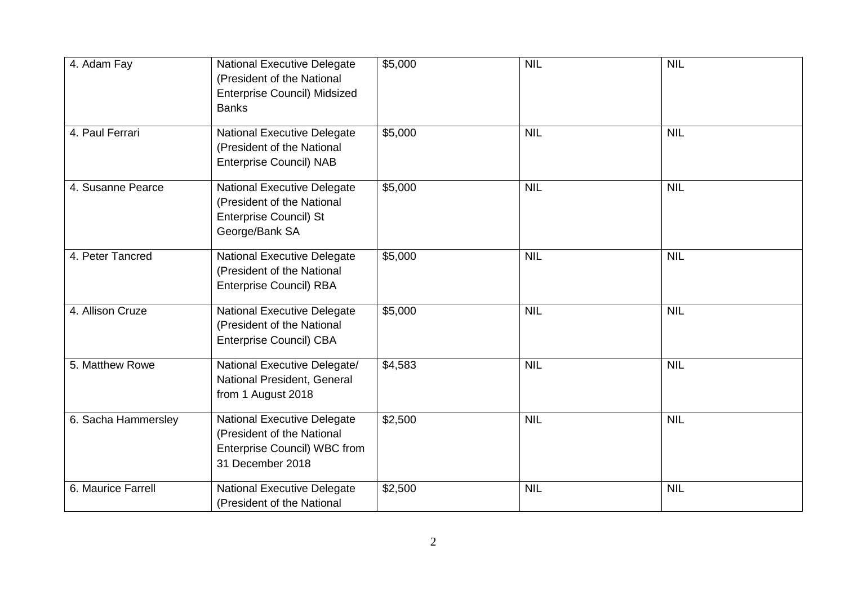| 4. Adam Fay         | <b>National Executive Delegate</b><br>(President of the National<br><b>Enterprise Council) Midsized</b><br><b>Banks</b>     | \$5,000 | <b>NIL</b> | <b>NIL</b> |
|---------------------|-----------------------------------------------------------------------------------------------------------------------------|---------|------------|------------|
| 4. Paul Ferrari     | <b>National Executive Delegate</b><br>(President of the National<br><b>Enterprise Council) NAB</b>                          | \$5,000 | <b>NIL</b> | <b>NIL</b> |
| 4. Susanne Pearce   | <b>National Executive Delegate</b><br>(President of the National<br><b>Enterprise Council) St</b><br>George/Bank SA         | \$5,000 | <b>NIL</b> | <b>NIL</b> |
| 4. Peter Tancred    | <b>National Executive Delegate</b><br>(President of the National<br><b>Enterprise Council) RBA</b>                          | \$5,000 | <b>NIL</b> | <b>NIL</b> |
| 4. Allison Cruze    | <b>National Executive Delegate</b><br>(President of the National<br><b>Enterprise Council) CBA</b>                          | \$5,000 | <b>NIL</b> | <b>NIL</b> |
| 5. Matthew Rowe     | National Executive Delegate/<br>National President, General<br>from 1 August 2018                                           | \$4,583 | <b>NIL</b> | <b>NIL</b> |
| 6. Sacha Hammersley | <b>National Executive Delegate</b><br>(President of the National<br><b>Enterprise Council) WBC from</b><br>31 December 2018 | \$2,500 | <b>NIL</b> | <b>NIL</b> |
| 6. Maurice Farrell  | <b>National Executive Delegate</b><br>(President of the National                                                            | \$2,500 | <b>NIL</b> | <b>NIL</b> |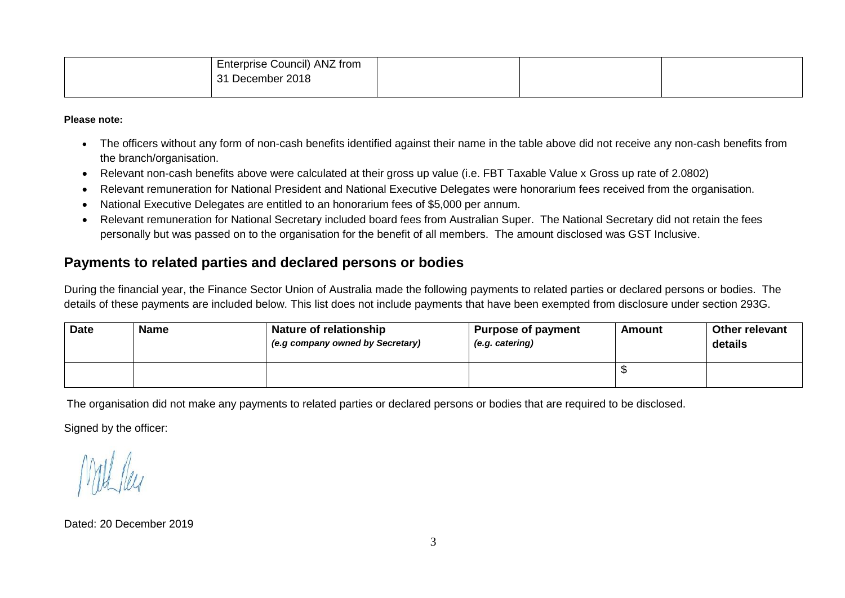| Enterprise Council) ANZ from |  |  |
|------------------------------|--|--|
| 31 December 2018             |  |  |
|                              |  |  |

**Please note:**

- The officers without any form of non-cash benefits identified against their name in the table above did not receive any non-cash benefits from the branch/organisation.
- Relevant non-cash benefits above were calculated at their gross up value (i.e. FBT Taxable Value x Gross up rate of 2.0802)
- Relevant remuneration for National President and National Executive Delegates were honorarium fees received from the organisation.
- National Executive Delegates are entitled to an honorarium fees of \$5,000 per annum.
- Relevant remuneration for National Secretary included board fees from Australian Super. The National Secretary did not retain the fees personally but was passed on to the organisation for the benefit of all members. The amount disclosed was GST Inclusive.

## **Payments to related parties and declared persons or bodies**

During the financial year, the Finance Sector Union of Australia made the following payments to related parties or declared persons or bodies. The details of these payments are included below. This list does not include payments that have been exempted from disclosure under section 293G.

| <b>Date</b> | <b>Name</b> | Nature of relationship<br><sup>1</sup> (e.g company owned by Secretary) | <b>Purpose of payment</b><br>(e.g. catering) | Amount | <b>Other relevant</b><br>details |
|-------------|-------------|-------------------------------------------------------------------------|----------------------------------------------|--------|----------------------------------|
|             |             |                                                                         |                                              |        |                                  |

The organisation did not make any payments to related parties or declared persons or bodies that are required to be disclosed.

Signed by the officer:

Dated: 20 December 2019